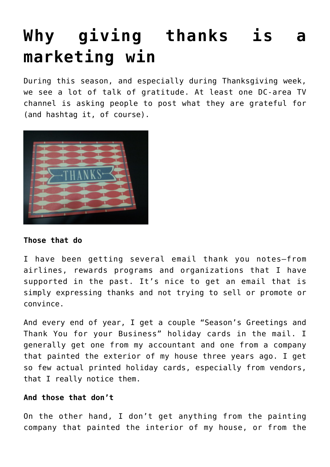# **[Why giving thanks is a](https://deborahbrody.com/2015/11/why-giving-thanks-is-a-marketing-win/) [marketing win](https://deborahbrody.com/2015/11/why-giving-thanks-is-a-marketing-win/)**

During this season, and especially during Thanksgiving week, we see a lot of talk of gratitude. At least one DC-area TV channel is asking people to post what they are grateful for (and hashtag it, of course).



### **Those that do**

I have been getting several email thank you notes—from airlines, rewards programs and organizations that I have supported in the past. It's nice to get an email that is simply expressing thanks and not trying to sell or promote or convince.

And every end of year, I get a couple "Season's Greetings and Thank You for your Business" holiday cards in the mail. I generally get one from my accountant and one from a company that painted the exterior of my house three years ago. I get so few actual printed holiday cards, especially from vendors, that I really notice them.

### **And those that don't**

On the other hand, I don't get anything from the painting company that painted the interior of my house, or from the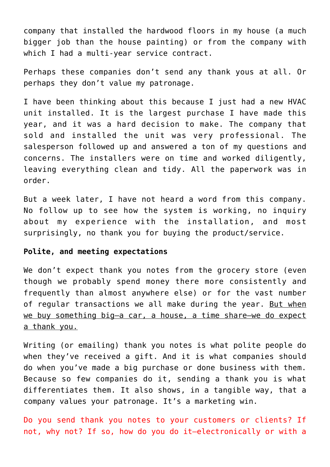company that installed the hardwood floors in my house (a much bigger job than the house painting) or from the company with which I had a multi-year service contract.

Perhaps these companies don't send any thank yous at all. Or perhaps they don't value my patronage.

I have been thinking about this because I just had a new HVAC unit installed. It is the largest purchase I have made this year, and it was a hard decision to make. The company that sold and installed the unit was very professional. The salesperson followed up and answered a ton of my questions and concerns. The installers were on time and worked diligently, leaving everything clean and tidy. All the paperwork was in order.

But a week later, I have not heard a word from this company. No follow up to see how the system is working, no inquiry about my experience with the installation, and most surprisingly, no thank you for buying the product/service.

#### **Polite, and meeting expectations**

We don't expect thank you notes from the grocery store (even though we probably spend money there more consistently and frequently than almost anywhere else) or for the vast number of regular transactions we all make during the year. But when we buy something big-a car, a house, a time share-we do expect a thank you.

Writing (or emailing) thank you notes is what polite people do when they've received a gift. And it is what companies should do when you've made a big purchase or done business with them. Because so few companies do it, sending a thank you is what differentiates them. It also shows, in a tangible way, that a company values your patronage. It's a marketing win.

Do you send thank you notes to your customers or clients? If not, why not? If so, how do you do it–electronically or with a